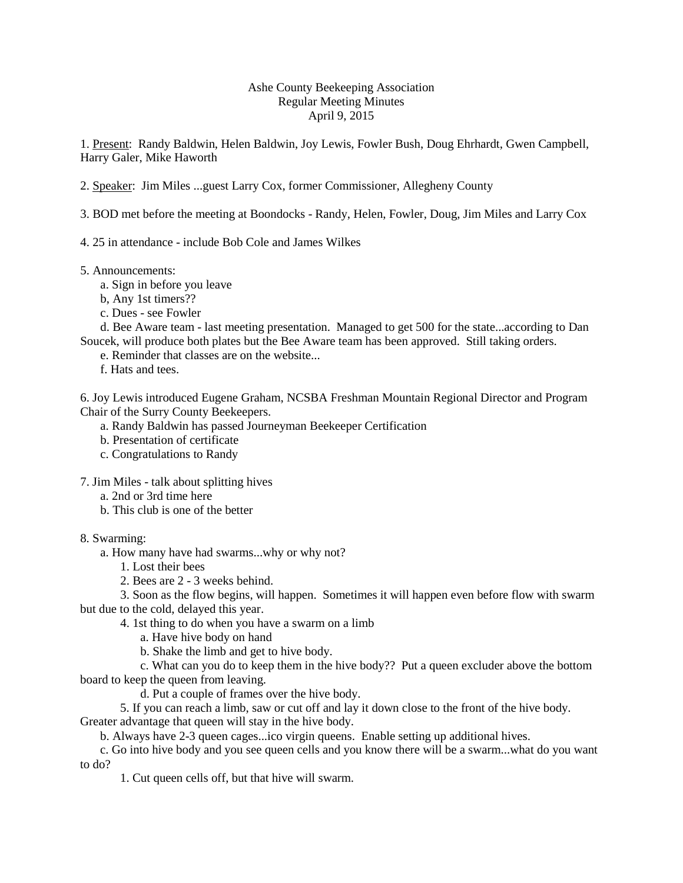## Ashe County Beekeeping Association Regular Meeting Minutes April 9, 2015

1. Present: Randy Baldwin, Helen Baldwin, Joy Lewis, Fowler Bush, Doug Ehrhardt, Gwen Campbell, Harry Galer, Mike Haworth

2. Speaker: Jim Miles ...guest Larry Cox, former Commissioner, Allegheny County

- 3. BOD met before the meeting at Boondocks Randy, Helen, Fowler, Doug, Jim Miles and Larry Cox
- 4. 25 in attendance include Bob Cole and James Wilkes
- 5. Announcements:
	- a. Sign in before you leave
	- b, Any 1st timers??
	- c. Dues see Fowler

d. Bee Aware team - last meeting presentation. Managed to get 500 for the state...according to Dan Soucek, will produce both plates but the Bee Aware team has been approved. Still taking orders.

- e. Reminder that classes are on the website...
- f. Hats and tees.

6. Joy Lewis introduced Eugene Graham, NCSBA Freshman Mountain Regional Director and Program Chair of the Surry County Beekeepers.

- a. Randy Baldwin has passed Journeyman Beekeeper Certification
- b. Presentation of certificate
- c. Congratulations to Randy

7. Jim Miles - talk about splitting hives

- a. 2nd or 3rd time here
- b. This club is one of the better

8. Swarming:

a. How many have had swarms...why or why not?

- 1. Lost their bees
- 2. Bees are 2 3 weeks behind.

3. Soon as the flow begins, will happen. Sometimes it will happen even before flow with swarm but due to the cold, delayed this year.

4. 1st thing to do when you have a swarm on a limb

- a. Have hive body on hand
- b. Shake the limb and get to hive body.

c. What can you do to keep them in the hive body?? Put a queen excluder above the bottom board to keep the queen from leaving.

d. Put a couple of frames over the hive body.

5. If you can reach a limb, saw or cut off and lay it down close to the front of the hive body. Greater advantage that queen will stay in the hive body.

b. Always have 2-3 queen cages...ico virgin queens. Enable setting up additional hives.

c. Go into hive body and you see queen cells and you know there will be a swarm...what do you want to do?

1. Cut queen cells off, but that hive will swarm.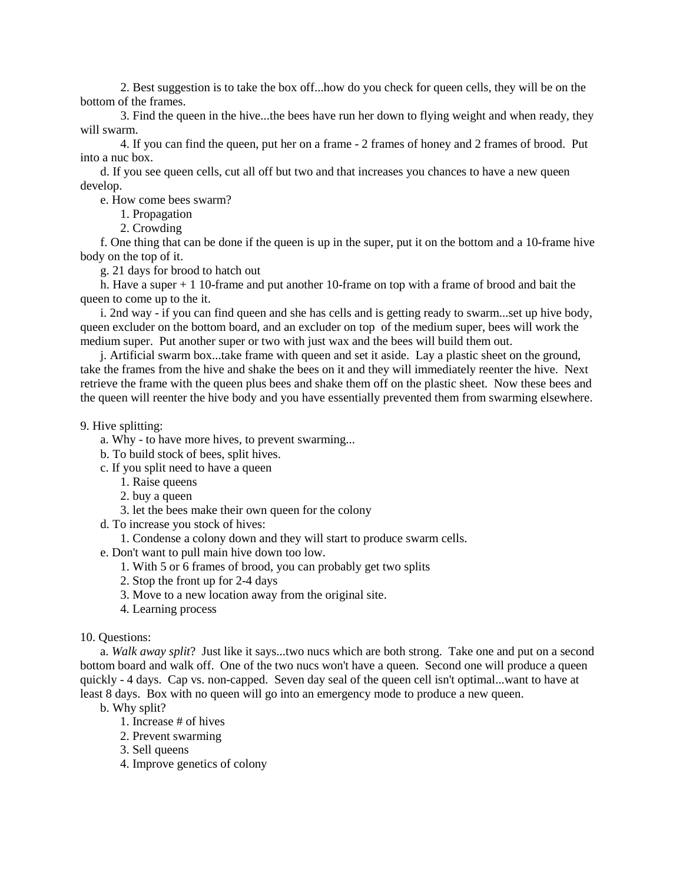2. Best suggestion is to take the box off...how do you check for queen cells, they will be on the bottom of the frames.

3. Find the queen in the hive...the bees have run her down to flying weight and when ready, they will swarm.

4. If you can find the queen, put her on a frame - 2 frames of honey and 2 frames of brood. Put into a nuc box.

d. If you see queen cells, cut all off but two and that increases you chances to have a new queen develop.

e. How come bees swarm?

1. Propagation

2. Crowding

f. One thing that can be done if the queen is up in the super, put it on the bottom and a 10-frame hive body on the top of it.

g. 21 days for brood to hatch out

h. Have a super + 1 10-frame and put another 10-frame on top with a frame of brood and bait the queen to come up to the it.

i. 2nd way - if you can find queen and she has cells and is getting ready to swarm...set up hive body, queen excluder on the bottom board, and an excluder on top of the medium super, bees will work the medium super. Put another super or two with just wax and the bees will build them out.

j. Artificial swarm box...take frame with queen and set it aside. Lay a plastic sheet on the ground, take the frames from the hive and shake the bees on it and they will immediately reenter the hive. Next retrieve the frame with the queen plus bees and shake them off on the plastic sheet. Now these bees and the queen will reenter the hive body and you have essentially prevented them from swarming elsewhere.

## 9. Hive splitting:

- a. Why to have more hives, to prevent swarming...
- b. To build stock of bees, split hives.
- c. If you split need to have a queen
	- 1. Raise queens
	- 2. buy a queen
	- 3. let the bees make their own queen for the colony
- d. To increase you stock of hives:
	- 1. Condense a colony down and they will start to produce swarm cells.
- e. Don't want to pull main hive down too low.
	- 1. With 5 or 6 frames of brood, you can probably get two splits
	- 2. Stop the front up for 2-4 days
	- 3. Move to a new location away from the original site.
	- 4. Learning process

## 10. Questions:

a. *Walk away split*? Just like it says...two nucs which are both strong. Take one and put on a second bottom board and walk off. One of the two nucs won't have a queen. Second one will produce a queen quickly - 4 days. Cap vs. non-capped. Seven day seal of the queen cell isn't optimal...want to have at least 8 days. Box with no queen will go into an emergency mode to produce a new queen.

b. Why split?

- 1. Increase # of hives
- 2. Prevent swarming
- 3. Sell queens
- 4. Improve genetics of colony